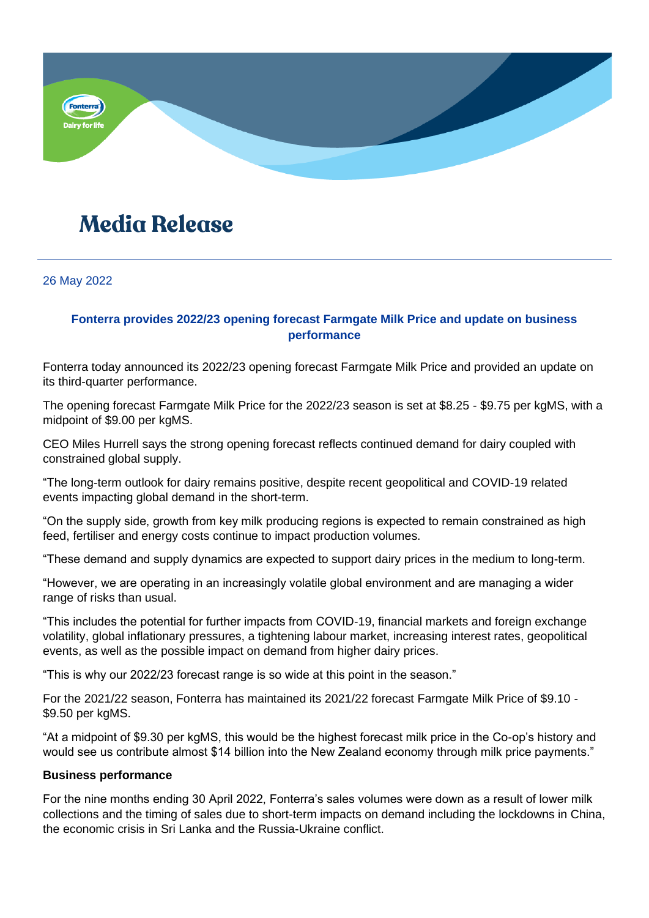

# **Media Release**

26 May 2022

# **Fonterra provides 2022/23 opening forecast Farmgate Milk Price and update on business performance**

Fonterra today announced its 2022/23 opening forecast Farmgate Milk Price and provided an update on its third-quarter performance.

The opening forecast Farmgate Milk Price for the 2022/23 season is set at \$8.25 - \$9.75 per kgMS, with a midpoint of \$9.00 per kgMS.

CEO Miles Hurrell says the strong opening forecast reflects continued demand for dairy coupled with constrained global supply.

"The long-term outlook for dairy remains positive, despite recent geopolitical and COVID-19 related events impacting global demand in the short-term.

"On the supply side, growth from key milk producing regions is expected to remain constrained as high feed, fertiliser and energy costs continue to impact production volumes.

"These demand and supply dynamics are expected to support dairy prices in the medium to long-term.

"However, we are operating in an increasingly volatile global environment and are managing a wider range of risks than usual.

"This includes the potential for further impacts from COVID-19, financial markets and foreign exchange volatility, global inflationary pressures, a tightening labour market, increasing interest rates, geopolitical events, as well as the possible impact on demand from higher dairy prices.

"This is why our 2022/23 forecast range is so wide at this point in the season."

For the 2021/22 season, Fonterra has maintained its 2021/22 forecast Farmgate Milk Price of \$9.10 - \$9.50 per kgMS.

"At a midpoint of \$9.30 per kgMS, this would be the highest forecast milk price in the Co-op's history and would see us contribute almost \$14 billion into the New Zealand economy through milk price payments."

# **Business performance**

For the nine months ending 30 April 2022, Fonterra's sales volumes were down as a result of lower milk collections and the timing of sales due to short-term impacts on demand including the lockdowns in China, the economic crisis in Sri Lanka and the Russia-Ukraine conflict.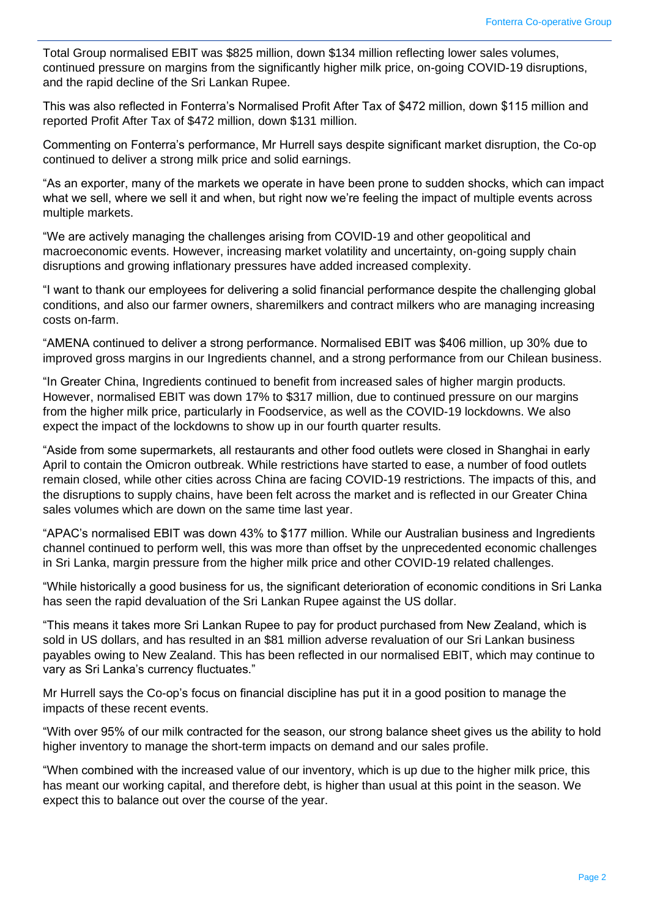Total Group normalised EBIT was \$825 million, down \$134 million reflecting lower sales volumes, continued pressure on margins from the significantly higher milk price, on-going COVID-19 disruptions, and the rapid decline of the Sri Lankan Rupee.

This was also reflected in Fonterra's Normalised Profit After Tax of \$472 million, down \$115 million and reported Profit After Tax of \$472 million, down \$131 million.

Commenting on Fonterra's performance, Mr Hurrell says despite significant market disruption, the Co-op continued to deliver a strong milk price and solid earnings.

"As an exporter, many of the markets we operate in have been prone to sudden shocks, which can impact what we sell, where we sell it and when, but right now we're feeling the impact of multiple events across multiple markets.

"We are actively managing the challenges arising from COVID-19 and other geopolitical and macroeconomic events. However, increasing market volatility and uncertainty, on-going supply chain disruptions and growing inflationary pressures have added increased complexity.

"I want to thank our employees for delivering a solid financial performance despite the challenging global conditions, and also our farmer owners, sharemilkers and contract milkers who are managing increasing costs on-farm.

"AMENA continued to deliver a strong performance. Normalised EBIT was \$406 million, up 30% due to improved gross margins in our Ingredients channel, and a strong performance from our Chilean business.

"In Greater China, Ingredients continued to benefit from increased sales of higher margin products. However, normalised EBIT was down 17% to \$317 million, due to continued pressure on our margins from the higher milk price, particularly in Foodservice, as well as the COVID-19 lockdowns. We also expect the impact of the lockdowns to show up in our fourth quarter results.

"Aside from some supermarkets, all restaurants and other food outlets were closed in Shanghai in early April to contain the Omicron outbreak. While restrictions have started to ease, a number of food outlets remain closed, while other cities across China are facing COVID-19 restrictions. The impacts of this, and the disruptions to supply chains, have been felt across the market and is reflected in our Greater China sales volumes which are down on the same time last year.

"APAC's normalised EBIT was down 43% to \$177 million. While our Australian business and Ingredients channel continued to perform well, this was more than offset by the unprecedented economic challenges in Sri Lanka, margin pressure from the higher milk price and other COVID-19 related challenges.

"While historically a good business for us, the significant deterioration of economic conditions in Sri Lanka has seen the rapid devaluation of the Sri Lankan Rupee against the US dollar.

"This means it takes more Sri Lankan Rupee to pay for product purchased from New Zealand, which is sold in US dollars, and has resulted in an \$81 million adverse revaluation of our Sri Lankan business payables owing to New Zealand. This has been reflected in our normalised EBIT, which may continue to vary as Sri Lanka's currency fluctuates."

Mr Hurrell says the Co-op's focus on financial discipline has put it in a good position to manage the impacts of these recent events.

"With over 95% of our milk contracted for the season, our strong balance sheet gives us the ability to hold higher inventory to manage the short-term impacts on demand and our sales profile.

"When combined with the increased value of our inventory, which is up due to the higher milk price, this has meant our working capital, and therefore debt, is higher than usual at this point in the season. We expect this to balance out over the course of the year.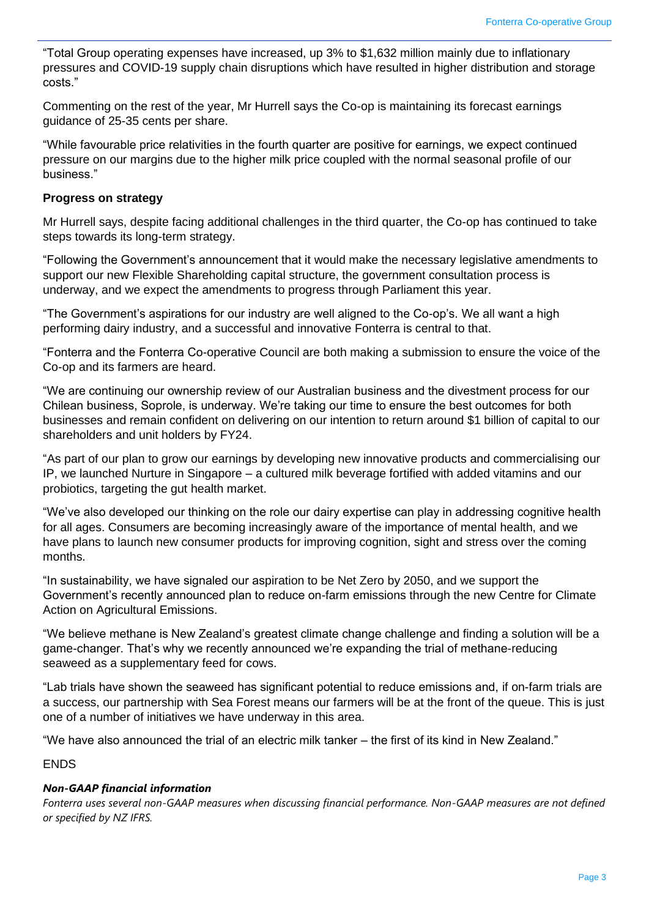"Total Group operating expenses have increased, up 3% to \$1,632 million mainly due to inflationary pressures and COVID-19 supply chain disruptions which have resulted in higher distribution and storage costs."

Commenting on the rest of the year, Mr Hurrell says the Co-op is maintaining its forecast earnings guidance of 25-35 cents per share.

"While favourable price relativities in the fourth quarter are positive for earnings, we expect continued pressure on our margins due to the higher milk price coupled with the normal seasonal profile of our business."

#### **Progress on strategy**

Mr Hurrell says, despite facing additional challenges in the third quarter, the Co-op has continued to take steps towards its long-term strategy.

"Following the Government's announcement that it would make the necessary legislative amendments to support our new Flexible Shareholding capital structure, the government consultation process is underway, and we expect the amendments to progress through Parliament this year.

"The Government's aspirations for our industry are well aligned to the Co-op's. We all want a high performing dairy industry, and a successful and innovative Fonterra is central to that.

"Fonterra and the Fonterra Co-operative Council are both making a submission to ensure the voice of the Co-op and its farmers are heard.

"We are continuing our ownership review of our Australian business and the divestment process for our Chilean business, Soprole, is underway. We're taking our time to ensure the best outcomes for both businesses and remain confident on delivering on our intention to return around \$1 billion of capital to our shareholders and unit holders by FY24.

"As part of our plan to grow our earnings by developing new innovative products and commercialising our IP, we launched Nurture in Singapore – a cultured milk beverage fortified with added vitamins and our probiotics, targeting the gut health market.

"We've also developed our thinking on the role our dairy expertise can play in addressing cognitive health for all ages. Consumers are becoming increasingly aware of the importance of mental health, and we have plans to launch new consumer products for improving cognition, sight and stress over the coming months.

"In sustainability, we have signaled our aspiration to be Net Zero by 2050, and we support the Government's recently announced plan to reduce on-farm emissions through the new Centre for Climate Action on Agricultural Emissions.

"We believe methane is New Zealand's greatest climate change challenge and finding a solution will be a game-changer. That's why we recently announced we're expanding the trial of methane-reducing seaweed as a supplementary feed for cows.

"Lab trials have shown the seaweed has significant potential to reduce emissions and, if on-farm trials are a success, our partnership with Sea Forest means our farmers will be at the front of the queue. This is just one of a number of initiatives we have underway in this area.

"We have also announced the trial of an electric milk tanker – the first of its kind in New Zealand."

ENDS

# *Non-GAAP financial information*

*Fonterra uses several non-GAAP measures when discussing financial performance. Non-GAAP measures are not defined or specified by NZ IFRS.*